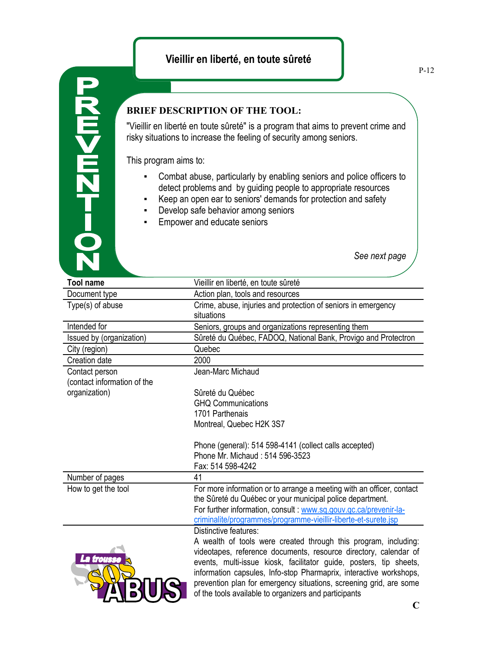## **Vieillir en liberté, en toute sûreté**

## **BRIEF DESCRIPTION OF THE TOOL:**

"Vieillir en liberté en toute sûreté" is a program that aims to prevent crime and risky situations to increase the feeling of security among seniors.

This program aims to:

**D-TZM<MZ** 

- Combat abuse, particularly by enabling seniors and police officers to detect problems and by guiding people to appropriate resources
- Keep an open ear to seniors' demands for protection and safety
- **•** Develop safe behavior among seniors
- **Empower and educate seniors**

*See next page*

| <b>Tool name</b>            | Vieillir en liberté, en toute sûreté                                  |
|-----------------------------|-----------------------------------------------------------------------|
| Document type               | Action plan, tools and resources                                      |
| Type(s) of abuse            | Crime, abuse, injuries and protection of seniors in emergency         |
|                             | situations                                                            |
| Intended for                | Seniors, groups and organizations representing them                   |
| Issued by (organization)    | Sûreté du Québec, FADOQ, National Bank, Provigo and Protectron        |
| City (region)               | Quebec                                                                |
| Creation date               | 2000                                                                  |
| Contact person              | Jean-Marc Michaud                                                     |
| (contact information of the |                                                                       |
| organization)               | Sûreté du Québec                                                      |
|                             | <b>GHQ Communications</b>                                             |
|                             | 1701 Parthenais                                                       |
|                             | Montreal, Quebec H2K 3S7                                              |
|                             |                                                                       |
|                             | Phone (general): 514 598-4141 (collect calls accepted)                |
|                             | Phone Mr. Michaud: 514 596-3523                                       |
|                             | Fax: 514 598-4242                                                     |
| Number of pages             | 41                                                                    |
| How to get the tool         | For more information or to arrange a meeting with an officer, contact |
|                             | the Sûreté du Québec or your municipal police department.             |
|                             | For further information, consult : www.sq.gouv.gc.ca/prevenir-la-     |
|                             | criminalite/programmes/programme-vieillir-liberte-et-surete.jsp       |
|                             | Distinctive features:                                                 |
|                             | A wealth of tools were created through this program, including:       |
|                             | videotapes, reference documents, resource directory, calendar of      |
| La trousse                  | events, multi-issue kiosk, facilitator guide, posters, tip sheets,    |
|                             | information capsules, Info-stop Pharmaprix, interactive workshops,    |
|                             | prevention plan for emergency situations, screening grid, are some    |
|                             | of the tools available to organizers and participants                 |
|                             |                                                                       |